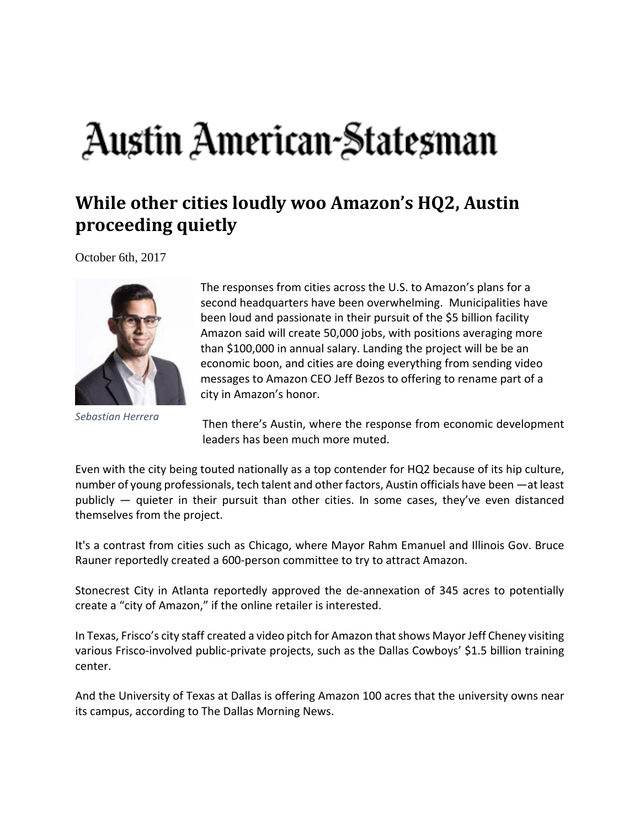## Austin American-Statesman

## **While other cities loudly woo Amazon's HQ2, Austin proceeding quietly**

October 6th, 2017



*Sebastian Herrera*

The responses from cities across the U.S. to Amazon's plans for a second headquarters have been overwhelming. Municipalities have been loud and passionate in their pursuit of the \$5 billion facility Amazon said will create 50,000 jobs, with positions averaging more than \$100,000 in annual salary. Landing the project will be be an economic boon, and cities are doing everything from sending video messages to Amazon CEO Jeff Bezos to offering to rename part of a city in Amazon's honor.

Then there's Austin, where the response from economic development leaders has been much more muted.

Even with the city being touted nationally as a top contender for HQ2 because of its hip culture, number of young professionals, tech talent and other factors, Austin officials have been —at least publicly — quieter in their pursuit than other cities. In some cases, they've even distanced themselves from the project.

It's a contrast from cities such as Chicago, where Mayor Rahm Emanuel and Illinois Gov. Bruce Rauner reportedly created a 600‐person committee to try to attract Amazon.

Stonecrest City in Atlanta reportedly approved the de‐annexation of 345 acres to potentially create a "city of Amazon," if the online retailer is interested.

In Texas, Frisco's city staff created a video pitch for Amazon thatshows Mayor Jeff Cheney visiting various Frisco-involved public-private projects, such as the Dallas Cowboys' \$1.5 billion training center.

And the University of Texas at Dallas is offering Amazon 100 acres that the university owns near its campus, according to The Dallas Morning News.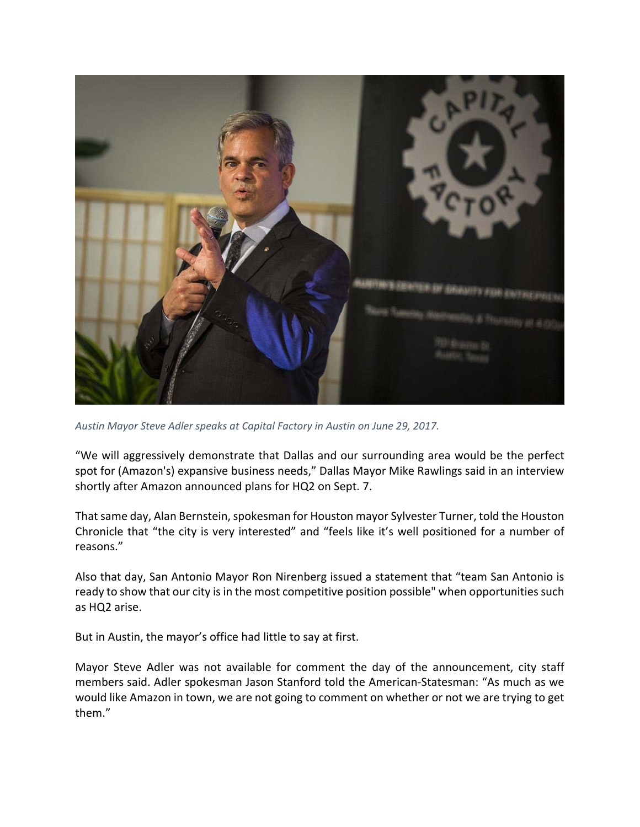

*Austin Mayor Steve Adler speaks at Capital Factory in Austin on June 29, 2017.*

"We will aggressively demonstrate that Dallas and our surrounding area would be the perfect spot for (Amazon's) expansive business needs," Dallas Mayor Mike Rawlings said in an interview shortly after Amazon announced plans for HQ2 on Sept. 7.

That same day, Alan Bernstein, spokesman for Houston mayor Sylvester Turner, told the Houston Chronicle that "the city is very interested" and "feels like it's well positioned for a number of reasons."

Also that day, San Antonio Mayor Ron Nirenberg issued a statement that "team San Antonio is ready to show that our city is in the most competitive position possible" when opportunities such as HQ2 arise.

But in Austin, the mayor's office had little to say at first.

Mayor Steve Adler was not available for comment the day of the announcement, city staff members said. Adler spokesman Jason Stanford told the American‐Statesman: "As much as we would like Amazon in town, we are not going to comment on whether or not we are trying to get them."